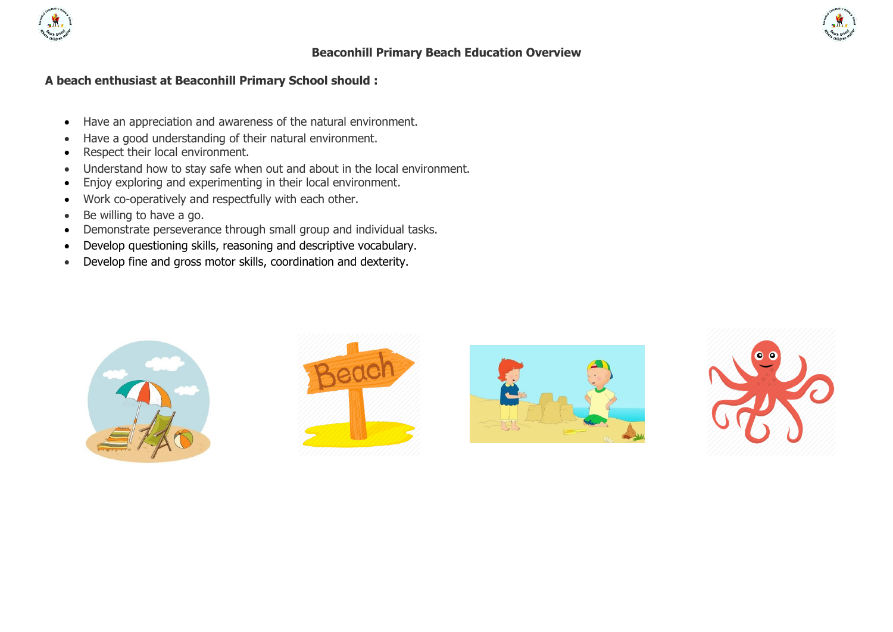

## **Beaconhill Primary Beach Education Overview**

## **A beach enthusiast at Beaconhill Primary School should :**

- Have an appreciation and awareness of the natural environment.
- Have a good understanding of their natural environment.
- Respect their local environment.
- Understand how to stay safe when out and about in the local environment.
- Enjoy exploring and experimenting in their local environment.
- Work co-operatively and respectfully with each other.
- $\bullet$  Be willing to have a go.
- Demonstrate perseverance through small group and individual tasks.
- Develop questioning skills, reasoning and descriptive vocabulary.
- Develop fine and gross motor skills, coordination and dexterity.







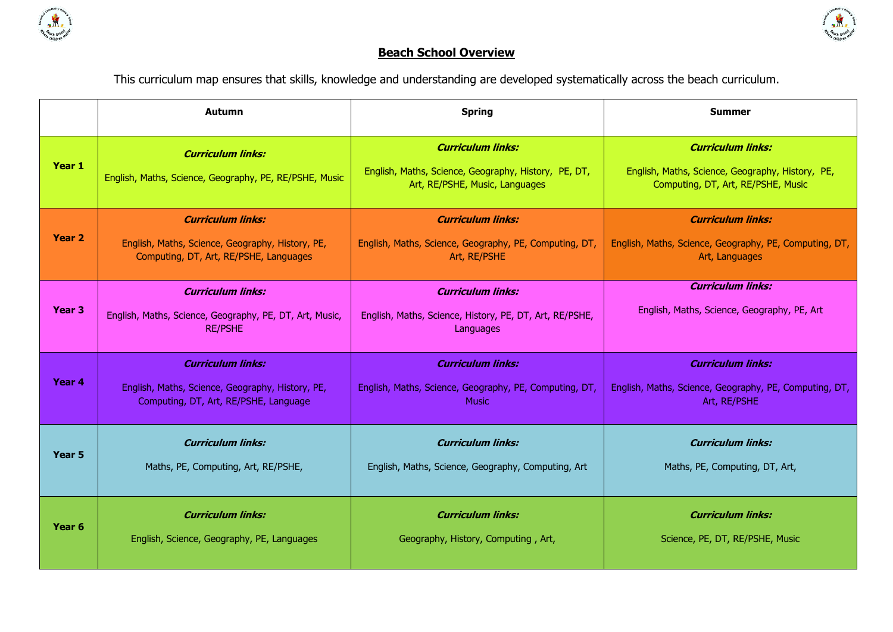



## **Beach School Overview**

This curriculum map ensures that skills, knowledge and understanding are developed systematically across the beach curriculum.

|                   | <b>Autumn</b>                                                                                         | <b>Spring</b>                                                                                                      | <b>Summer</b>                                                                                                      |  |  |
|-------------------|-------------------------------------------------------------------------------------------------------|--------------------------------------------------------------------------------------------------------------------|--------------------------------------------------------------------------------------------------------------------|--|--|
| Year 1            | <b>Curriculum links:</b><br>English, Maths, Science, Geography, PE, RE/PSHE, Music                    | <b>Curriculum links:</b><br>English, Maths, Science, Geography, History, PE, DT,<br>Art, RE/PSHE, Music, Languages | <b>Curriculum links:</b><br>English, Maths, Science, Geography, History, PE,<br>Computing, DT, Art, RE/PSHE, Music |  |  |
| Year 2            | <b>Curriculum links:</b>                                                                              | <b>Curriculum links:</b>                                                                                           | <b>Curriculum links:</b>                                                                                           |  |  |
|                   | English, Maths, Science, Geography, History, PE,                                                      | English, Maths, Science, Geography, PE, Computing, DT,                                                             | English, Maths, Science, Geography, PE, Computing, DT,                                                             |  |  |
|                   | Computing, DT, Art, RE/PSHE, Languages                                                                | Art, RE/PSHE                                                                                                       | Art, Languages                                                                                                     |  |  |
| Year <sub>3</sub> | <b>Curriculum links:</b><br>English, Maths, Science, Geography, PE, DT, Art, Music,<br><b>RE/PSHE</b> | <b>Curriculum links:</b><br>English, Maths, Science, History, PE, DT, Art, RE/PSHE,<br>Languages                   | <b>Curriculum links:</b><br>English, Maths, Science, Geography, PE, Art                                            |  |  |
| Year 4            | <b>Curriculum links:</b>                                                                              | <b>Curriculum links:</b>                                                                                           | <b>Curriculum links:</b>                                                                                           |  |  |
|                   | English, Maths, Science, Geography, History, PE,                                                      | English, Maths, Science, Geography, PE, Computing, DT,                                                             | English, Maths, Science, Geography, PE, Computing, DT,                                                             |  |  |
|                   | Computing, DT, Art, RE/PSHE, Language                                                                 | <b>Music</b>                                                                                                       | Art, RE/PSHE                                                                                                       |  |  |
| Year 5            | <b>Curriculum links:</b>                                                                              | <b>Curriculum links:</b>                                                                                           | <b>Curriculum links:</b>                                                                                           |  |  |
|                   | Maths, PE, Computing, Art, RE/PSHE,                                                                   | English, Maths, Science, Geography, Computing, Art                                                                 | Maths, PE, Computing, DT, Art,                                                                                     |  |  |
| Year <sub>6</sub> | <b>Curriculum links:</b>                                                                              | <b>Curriculum links:</b>                                                                                           | <b>Curriculum links:</b>                                                                                           |  |  |
|                   | English, Science, Geography, PE, Languages                                                            | Geography, History, Computing, Art,                                                                                | Science, PE, DT, RE/PSHE, Music                                                                                    |  |  |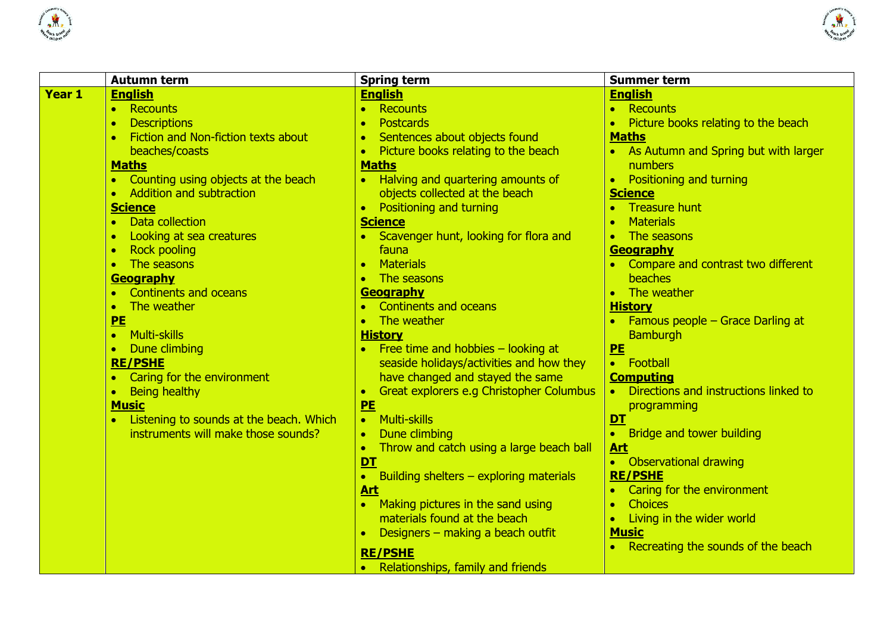



|        | <b>Autumn term</b>                                   | <b>Spring term</b>                                    | <b>Summer term</b>                          |
|--------|------------------------------------------------------|-------------------------------------------------------|---------------------------------------------|
| Year 1 | <b>English</b>                                       | <b>English</b>                                        | <b>English</b>                              |
|        | • Recounts                                           | Recounts                                              | Recounts<br>$\bullet$                       |
|        | <b>Descriptions</b><br>$\bullet$                     | <b>Postcards</b>                                      | Picture books relating to the beach         |
|        | Fiction and Non-fiction texts about                  | Sentences about objects found                         | <b>Maths</b>                                |
|        | beaches/coasts                                       | Picture books relating to the beach                   | As Autumn and Spring but with larger        |
|        | <b>Maths</b>                                         | <b>Maths</b>                                          | numbers                                     |
|        | Counting using objects at the beach                  | Halving and quartering amounts of                     | <b>Positioning and turning</b><br>$\bullet$ |
|        | <b>Addition and subtraction</b>                      | objects collected at the beach                        | <b>Science</b>                              |
|        | <b>Science</b>                                       | Positioning and turning<br>$\bullet$                  | <b>Treasure hunt</b>                        |
|        | Data collection<br>$\bullet$                         | <b>Science</b>                                        | <b>Materials</b><br>$\bullet$               |
|        | Looking at sea creatures                             | Scavenger hunt, looking for flora and                 | The seasons                                 |
|        | <b>Rock pooling</b><br>$\bullet$                     | fauna                                                 | Geography                                   |
|        | The seasons<br>$\bullet$                             | <b>Materials</b><br>$\bullet$                         | Compare and contrast two different          |
|        | <b>Geography</b>                                     | The seasons                                           | beaches                                     |
|        | <b>Continents and oceans</b>                         | Geography                                             | The weather<br>$\bullet$                    |
|        | The weather<br>$\bullet$                             | <b>Continents and oceans</b>                          | <b>History</b>                              |
|        | PE                                                   | The weather                                           | Famous people $-$ Grace Darling at          |
|        | <b>Multi-skills</b><br>$\bullet$                     | <b>History</b>                                        | <b>Bamburgh</b>                             |
|        | Dune climbing<br>$\bullet$                           | Free time and hobbies $-$ looking at                  | PE                                          |
|        | <b>RE/PSHE</b>                                       | seaside holidays/activities and how they              | • Football                                  |
|        | Caring for the environment                           | have changed and stayed the same                      | <b>Computing</b>                            |
|        | Being healthy<br>$\bullet$                           | Great explorers e.g Christopher Columbus<br>$\bullet$ | Directions and instructions linked to       |
|        | <b>Music</b>                                         | PE                                                    | programming                                 |
|        | Listening to sounds at the beach. Which<br>$\bullet$ | <b>Multi-skills</b><br>$\bullet$                      | DT                                          |
|        | instruments will make those sounds?                  | Dune climbing                                         | Bridge and tower building<br>$\bullet$      |
|        |                                                      | Throw and catch using a large beach ball              | <b>Art</b>                                  |
|        |                                                      | <b>DT</b>                                             | <b>Observational drawing</b>                |
|        |                                                      | Building shelters – exploring materials               | <b>RE/PSHE</b>                              |
|        |                                                      | <u>Art</u>                                            | Caring for the environment                  |
|        |                                                      | Making pictures in the sand using                     | <b>Choices</b>                              |
|        |                                                      | materials found at the beach                          | Living in the wider world                   |
|        |                                                      | Designers - making a beach outfit                     | <b>Music</b>                                |
|        |                                                      | <b>RE/PSHE</b>                                        | Recreating the sounds of the beach          |
|        |                                                      | Relationships, family and friends                     |                                             |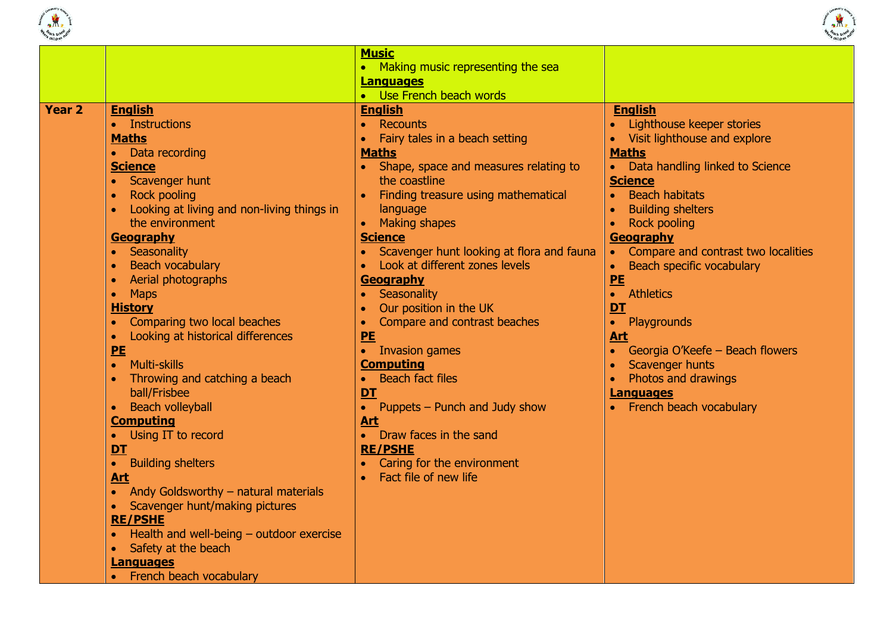



|                                                                                                                                                                                                                                                                                                                                                                                                                                                                                                                                                                                                                                                                                                                                                                                                                                                                                                                                                             | <b>Music</b><br>• Making music representing the sea<br><b>Languages</b><br>• Use French beach words                                                                                                                                                                                                                                                                                                                                                                                                                                                                                                                                                             |                                                                                                                                                                                                                                                                                                                                                                                                                                                                                                                                                     |
|-------------------------------------------------------------------------------------------------------------------------------------------------------------------------------------------------------------------------------------------------------------------------------------------------------------------------------------------------------------------------------------------------------------------------------------------------------------------------------------------------------------------------------------------------------------------------------------------------------------------------------------------------------------------------------------------------------------------------------------------------------------------------------------------------------------------------------------------------------------------------------------------------------------------------------------------------------------|-----------------------------------------------------------------------------------------------------------------------------------------------------------------------------------------------------------------------------------------------------------------------------------------------------------------------------------------------------------------------------------------------------------------------------------------------------------------------------------------------------------------------------------------------------------------------------------------------------------------------------------------------------------------|-----------------------------------------------------------------------------------------------------------------------------------------------------------------------------------------------------------------------------------------------------------------------------------------------------------------------------------------------------------------------------------------------------------------------------------------------------------------------------------------------------------------------------------------------------|
| <b>Year 2</b><br><b>English</b><br>• Instructions<br><b>Maths</b><br>• Data recording<br><b>Science</b><br>Scavenger hunt<br>$\bullet$<br><b>Rock pooling</b><br>$\bullet$<br>Looking at living and non-living things in<br>the environment<br>Geography<br>Seasonality<br>$\bullet$<br><b>Beach vocabulary</b><br>$\bullet$<br>Aerial photographs<br>$\bullet$<br>$\bullet$<br><b>Maps</b><br><b>History</b><br>Comparing two local beaches<br>Looking at historical differences<br>$\bullet$<br>PE<br>Multi-skills<br>$\bullet$<br>Throwing and catching a beach<br>ball/Frisbee<br><b>Beach volleyball</b><br>$\bullet$<br><b>Computing</b><br>• Using IT to record<br>DT<br>• Building shelters<br><b>Art</b><br>• Andy Goldsworthy - natural materials<br>Scavenger hunt/making pictures<br>$\bullet$<br><b>RE/PSHE</b><br>Health and well-being - outdoor exercise<br>Safety at the beach<br>$\bullet$<br><b>Languages</b><br>French beach vocabulary | <b>English</b><br>Recounts<br>$\bullet$<br>Fairy tales in a beach setting<br><b>Maths</b><br>Shape, space and measures relating to<br>the coastline<br>Finding treasure using mathematical<br>language<br><b>Making shapes</b><br><b>Science</b><br>Scavenger hunt looking at flora and fauna<br>Look at different zones levels<br>Geography<br>Seasonality<br>Our position in the UK<br>Compare and contrast beaches<br>PE<br><b>Invasion games</b><br><b>Computing</b><br><b>Beach fact files</b><br>DT<br>• Puppets – Punch and Judy show<br><b>Art</b><br>• Draw faces in the sand<br><b>RE/PSHE</b><br>Caring for the environment<br>Fact file of new life | <b>English</b><br>• Lighthouse keeper stories<br>• Visit lighthouse and explore<br><b>Maths</b><br>• Data handling linked to Science<br><b>Science</b><br><b>Beach habitats</b><br><b>Building shelters</b><br><b>Rock pooling</b><br><b>Geography</b><br>• Compare and contrast two localities<br>Beach specific vocabulary<br>$\bullet$<br>PE<br>• Athletics<br><b>DT</b><br>Playgrounds<br>$\bullet$<br><b>Art</b><br>Georgia O'Keefe - Beach flowers<br>Scavenger hunts<br>Photos and drawings<br><b>Languages</b><br>• French beach vocabulary |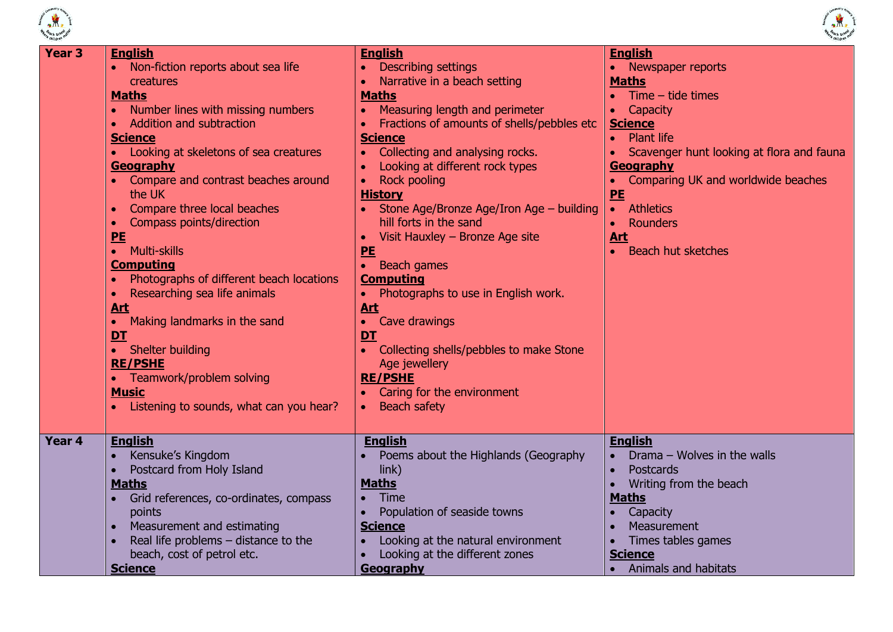



| Year <sub>3</sub> | <b>English</b><br>Non-fiction reports about sea life<br>$\bullet$<br>creatures<br><b>Maths</b><br>Number lines with missing numbers<br>Addition and subtraction<br><b>Science</b><br>• Looking at skeletons of sea creatures<br>Geography<br>Compare and contrast beaches around<br>$\bullet$<br>the UK<br>Compare three local beaches<br>$\bullet$<br>Compass points/direction<br>PE<br>• Multi-skills<br><b>Computing</b><br>Photographs of different beach locations<br>Researching sea life animals<br>$\bullet$<br><b>Art</b><br>• Making landmarks in the sand<br>DT<br>• Shelter building<br><b>RE/PSHE</b> | <b>English</b><br><b>Describing settings</b><br>Narrative in a beach setting<br><b>Maths</b><br>Measuring length and perimeter<br>$\bullet$<br>Fractions of amounts of shells/pebbles etc<br><b>Science</b><br>Collecting and analysing rocks.<br>$\bullet$<br>Looking at different rock types<br><b>Rock pooling</b><br><b>History</b><br>Stone Age/Bronze Age/Iron Age - building<br>hill forts in the sand<br>Visit Hauxley - Bronze Age site<br>PE<br>• Beach games<br><b>Computing</b><br>Photographs to use in English work.<br><b>Art</b><br>Cave drawings<br>$\bullet$<br>DT<br>Collecting shells/pebbles to make Stone<br>Age jewellery<br><b>RE/PSHE</b> | <b>English</b><br>• Newspaper reports<br><b>Maths</b><br>$Time - tide$ times<br>$\bullet$<br>Capacity<br>$\bullet$<br><b>Science</b><br><b>Plant life</b><br>Scavenger hunt looking at flora and fauna<br>$\bullet$<br>Geography<br>Comparing UK and worldwide beaches<br>$\bullet$<br>PE<br><b>Athletics</b><br>$\bullet$<br>Rounders<br>$\bullet$<br><u>Art</u><br><b>Beach hut sketches</b><br>$\bullet$ |
|-------------------|--------------------------------------------------------------------------------------------------------------------------------------------------------------------------------------------------------------------------------------------------------------------------------------------------------------------------------------------------------------------------------------------------------------------------------------------------------------------------------------------------------------------------------------------------------------------------------------------------------------------|--------------------------------------------------------------------------------------------------------------------------------------------------------------------------------------------------------------------------------------------------------------------------------------------------------------------------------------------------------------------------------------------------------------------------------------------------------------------------------------------------------------------------------------------------------------------------------------------------------------------------------------------------------------------|-------------------------------------------------------------------------------------------------------------------------------------------------------------------------------------------------------------------------------------------------------------------------------------------------------------------------------------------------------------------------------------------------------------|
| Year 4            | • Teamwork/problem solving<br><b>Music</b><br>Listening to sounds, what can you hear?<br><b>English</b><br>Kensuke's Kingdom                                                                                                                                                                                                                                                                                                                                                                                                                                                                                       | Caring for the environment<br><b>Beach safety</b><br><b>English</b><br>Poems about the Highlands (Geography                                                                                                                                                                                                                                                                                                                                                                                                                                                                                                                                                        | <b>English</b><br>Drama - Wolves in the walls                                                                                                                                                                                                                                                                                                                                                               |
|                   | Postcard from Holy Island<br>$\bullet$<br><b>Maths</b><br>Grid references, co-ordinates, compass<br>points<br>Measurement and estimating<br>$\bullet$<br>Real life problems $-$ distance to the<br>beach, cost of petrol etc.<br><b>Science</b>                                                                                                                                                                                                                                                                                                                                                                    | link)<br><b>Maths</b><br><b>Time</b><br>Population of seaside towns<br><b>Science</b><br>Looking at the natural environment<br>Looking at the different zones<br>Geography                                                                                                                                                                                                                                                                                                                                                                                                                                                                                         | Postcards<br>$\bullet$<br>Writing from the beach<br>$\bullet$<br><b>Maths</b><br>Capacity<br>Measurement<br>$\bullet$<br>Times tables games<br>$\bullet$<br><b>Science</b><br><b>Animals and habitats</b><br>$\bullet$                                                                                                                                                                                      |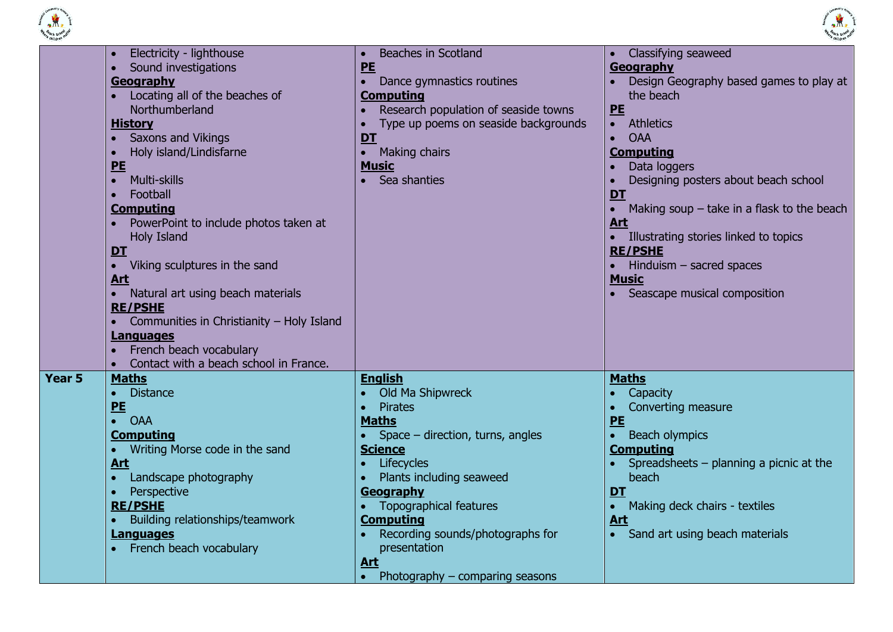



|        | Electricity - lighthouse<br>Sound investigations<br>Geography<br>Locating all of the beaches of<br>Northumberland<br><b>History</b><br><b>Saxons and Vikings</b><br>Holy island/Lindisfarne<br><b>PE</b><br><b>Multi-skills</b><br>$\bullet$<br>Football<br><b>Computing</b><br>PowerPoint to include photos taken at<br><b>Holy Island</b><br><b>DT</b><br>Viking sculptures in the sand<br><u>Art</u><br>Natural art using beach materials<br><b>RE/PSHE</b> | <b>Beaches in Scotland</b><br><b>PE</b><br>Dance gymnastics routines<br>$\bullet$<br><b>Computing</b><br>Research population of seaside towns<br>Type up poems on seaside backgrounds<br>DT<br>• Making chairs<br><b>Music</b><br>Sea shanties                                                                                                | <b>Classifying seaweed</b><br>Geography<br>Design Geography based games to play at<br>the beach<br><b>PE</b><br><b>Athletics</b><br>$\bullet$<br><b>OAA</b><br><b>Computing</b><br>Data loggers<br>Designing posters about beach school<br>DT<br>Making soup $-$ take in a flask to the beach<br>Art<br>• Illustrating stories linked to topics<br><b>RE/PSHE</b><br>$\bullet$ Hinduism – sacred spaces<br><b>Music</b><br>• Seascape musical composition |
|--------|----------------------------------------------------------------------------------------------------------------------------------------------------------------------------------------------------------------------------------------------------------------------------------------------------------------------------------------------------------------------------------------------------------------------------------------------------------------|-----------------------------------------------------------------------------------------------------------------------------------------------------------------------------------------------------------------------------------------------------------------------------------------------------------------------------------------------|-----------------------------------------------------------------------------------------------------------------------------------------------------------------------------------------------------------------------------------------------------------------------------------------------------------------------------------------------------------------------------------------------------------------------------------------------------------|
| Year 5 | Communities in Christianity - Holy Island<br><b>Languages</b><br>French beach vocabulary<br>Contact with a beach school in France.<br><b>Maths</b><br><b>Distance</b><br>$\bullet$<br>PE<br><b>OAA</b><br>$\bullet$<br><b>Computing</b><br>Writing Morse code in the sand<br><b>Art</b><br>Landscape photography<br>$\bullet$<br>Perspective<br><b>RE/PSHE</b><br>Building relationships/teamwork<br><b>Languages</b><br>French beach vocabulary               | <b>English</b><br>Old Ma Shipwreck<br><b>Pirates</b><br><b>Maths</b><br>Space – direction, turns, angles<br><b>Science</b><br>Lifecycles<br>Plants including seaweed<br>Geography<br><b>Topographical features</b><br><b>Computing</b><br>Recording sounds/photographs for<br>presentation<br><u>Art</u><br>Photography $-$ comparing seasons | <b>Maths</b><br>Capacity<br>Converting measure<br>PE<br><b>Beach olympics</b><br>$\bullet$<br><b>Computing</b><br>Spreadsheets $-$ planning a picnic at the<br>beach<br><b>DT</b><br>Making deck chairs - textiles<br>$\bullet$<br><b>Art</b><br>Sand art using beach materials<br>$\bullet$                                                                                                                                                              |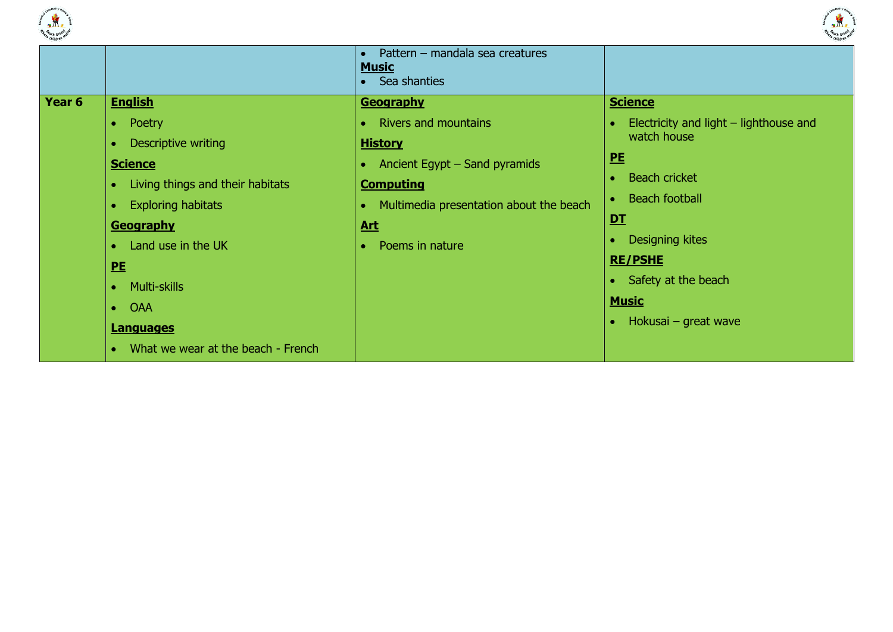



|                   |                                               | Pattern - mandala sea creatures<br><b>Music</b><br>• Sea shanties |                                          |
|-------------------|-----------------------------------------------|-------------------------------------------------------------------|------------------------------------------|
| Year <sub>6</sub> | <b>English</b>                                | <b>Geography</b>                                                  | <b>Science</b>                           |
|                   | Poetry<br>$\bullet$                           | • Rivers and mountains                                            | Electricity and light $-$ lighthouse and |
|                   | Descriptive writing                           | <b>History</b>                                                    | watch house                              |
|                   | <b>Science</b>                                | • Ancient Egypt $-$ Sand pyramids                                 | <u>PE</u>                                |
|                   | Living things and their habitats<br>$\bullet$ | <b>Computing</b>                                                  | <b>Beach cricket</b><br>$\bullet$        |
|                   | <b>Exploring habitats</b><br>۰                | Multimedia presentation about the beach                           | <b>Beach football</b><br>$\bullet$       |
|                   | <b>Geography</b>                              | <u>Art</u>                                                        | DT                                       |
|                   | Land use in the UK                            | Poems in nature                                                   | Designing kites                          |
|                   | PE                                            |                                                                   | <b>RE/PSHE</b>                           |
|                   | <b>Multi-skills</b>                           |                                                                   | • Safety at the beach                    |
|                   | <b>OAA</b><br>$\bullet$                       |                                                                   | <b>Music</b>                             |
|                   | <b>Languages</b>                              |                                                                   | Hokusai – great wave                     |
|                   | What we wear at the beach - French            |                                                                   |                                          |
|                   |                                               |                                                                   |                                          |